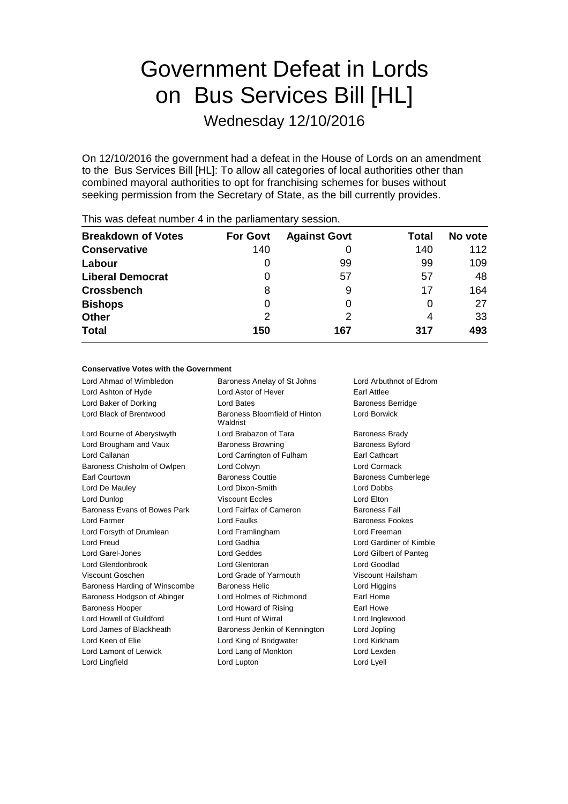# Government Defeat in Lords on Bus Services Bill [HL]

Wednesday 12/10/2016

On 12/10/2016 the government had a defeat in the House of Lords on an amendment to the Bus Services Bill [HL]: To allow all categories of local authorities other than combined mayoral authorities to opt for franchising schemes for buses without seeking permission from the Secretary of State, as the bill currently provides.

| <b>Breakdown of Votes</b> | <b>For Govt</b> | <b>Against Govt</b> | Total | No vote |
|---------------------------|-----------------|---------------------|-------|---------|
| <b>Conservative</b>       | 140             |                     | 140   | 112     |
| Labour                    | $\Omega$        | 99                  | 99    | 109     |
| <b>Liberal Democrat</b>   | 0               | 57                  | 57    | 48      |
| <b>Crossbench</b>         | 8               | 9                   | 17    | 164     |
| <b>Bishops</b>            | $\Omega$        |                     | O     | 27      |
| <b>Other</b>              | 2               |                     | 4     | 33      |
| <b>Total</b>              | 150             | 167                 | 317   | 493     |
|                           |                 |                     |       |         |

This was defeat number 4 in the parliamentary session.

#### **Conservative Votes with the Government**

Lord Ahmad of Wimbledon Baroness Anelay of St Johns Lord Arbuthnot of Edrom Lord Ashton of Hyde **Lord Astor of Hever** Earl Attlee Lord Baker of Dorking **Lord Bates** Lord Bates **Baroness Berridge** Lord Black of Brentwood Baroness Bloomfield of Hinton Waldrist Lord Borwick Lord Bourne of Aberystwyth **Lord Brabazon of Tara** Baroness Brady Lord Brougham and Vaux Baroness Browning Baroness Byford Lord Callanan Lord Carrington of Fulham Earl Cathcart Baroness Chisholm of Owlpen Lord Colwyn Lord Cormack Earl Courtown Baroness Couttie Baroness Cumberlege Lord De Mauley Lord Dixon-Smith Lord Dobbs Lord Dunlop Viscount Eccles Lord Elton Baroness Evans of Bowes Park Lord Fairfax of Cameron Baroness Fall **Lord Farmer Lord Faulks Baroness Fookes Baroness Fookes** Lord Forsyth of Drumlean Lord Framlingham Lord Freeman Lord Freud Lord Gadhia Lord Gardiner of Kimble Lord Garel-Jones Lord Geddes Lord Gilbert of Panteg Lord Glendonbrook Lord Glentoran Lord Goodlad Viscount Goschen Lord Grade of Yarmouth Viscount Hailsham Baroness Harding of Winscombe Baroness Helic Lord Higgins Lord Higgins Baroness Hodgson of Abinger Lord Holmes of Richmond Earl Home Baroness Hooper **Lord Howard of Rising Farl Howe** Earl Howe Lord Howell of Guildford Lord Hunt of Wirral Lord Inglewood Lord James of Blackheath Baroness Jenkin of Kennington Lord Jopling Lord Keen of Elie Lord King of Bridgwater Lord Kirkham Lord Lamont of Lerwick Lord Lang of Monkton Lord Lexden Lord Lingfield **Lord Lupton** Lord Lupton **Lord Lyell**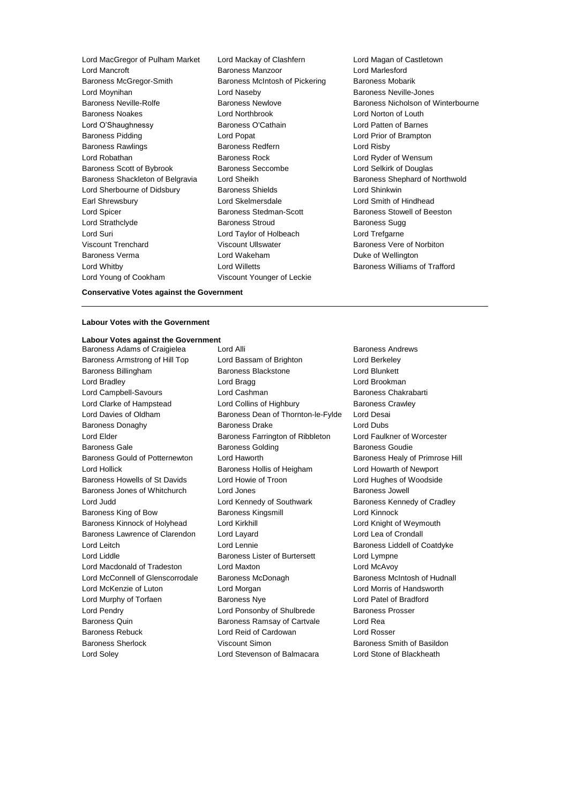Lord MacGregor of Pulham Market Lord Mackay of Clashfern Lord Magan of Castletown Lord Mancroft **Baroness Manzoor** Baroness McGregor-Smith Baroness McIntosh of Pickering Baroness Mobarik Lord Moynihan Lord Naseby Baroness Neville-Jones Baroness Neville-Rolfe **Baroness Newlove** Baroness Newlove Baroness Nicholson of Winterbourne Baroness Noakes Lord Northbrook Lord Norton of Louth Lord O'Shaughnessy Baroness O'Cathain Lord Patten of Barnes Baroness Pidding **Lord Popat** Lord Popat **Lord Prior of Brampton** Baroness Rawlings **Baroness Redfern Baroness Redfern** Lord Risby Lord Robathan Baroness Rock Lord Ryder of Wensum Baroness Scott of Bybrook Baroness Seccombe Lord Selkirk of Douglas Baroness Shackleton of Belgravia Lord Sheikh Baroness Shephard of Northwold Lord Sherbourne of Didsbury Baroness Shields Lord Shinkwin Earl Shrewsbury Lord Skelmersdale Lord Smith of Hindhead Lord Spicer **Baroness Stedman-Scott** Baroness Stedman-Scott Baroness Stowell of Beeston Lord Strathclyde Baroness Stroud Baroness Sugg Lord Suri Lord Taylor of Holbeach Lord Trefgarne Viscount Trenchard Viscount Ullswater Baroness Vere of Norbiton Baroness Verma **Duke of Wakeham** Lord Wakeham **Duke of Wellington** Lord Whitby Lord Willetts Baroness Williams of Trafford Lord Young of Cookham Viscount Younger of Leckie

**Conservative Votes against the Government**

#### **Labour Votes with the Government**

### **Labour Votes against the Government**

Baroness Adams of Craigielea Lord Alli Lord Elitecture Character Baroness Andrews

Baroness Armstrong of Hill Top Lord Bassam of Brighton Lord Berkeley Baroness Billingham Baroness Blackstone Lord Blunkett Lord Bradley **Lord Bragg Lord Bragg Lord Brookman** Lord Campbell-Savours **Lord Cashman** Lord Cashman Baroness Chakrabarti Lord Clarke of Hampstead Lord Collins of Highbury Baroness Crawley Lord Davies of Oldham Baroness Dean of Thornton-le-Fylde Lord Desai Baroness Donaghy Baroness Drake Lord Dubs Lord Elder Baroness Farrington of Ribbleton Lord Faulkner of Worcester Baroness Gale **Baroness Golding** Baroness Golding Baroness Goudie Baroness Gould of Potternewton Lord Haworth **Baroness Healy of Primrose Hill** Lord Hollick Baroness Hollis of Heigham Lord Howarth of Newport Baroness Howells of St Davids Lord Howie of Troon Lord Hughes of Woodside Baroness Jones of Whitchurch Lord Jones Baroness Jowell Lord Judd **Lord Kennedy of Southwark** Baroness Kennedy of Cradley Baroness King of Bow Baroness Kingsmill Lord Kinnock Baroness Kinnock of Holyhead Lord Kirkhill Lord Knight of Weymouth Baroness Lawrence of Clarendon Lord Layard Lord Lea of Crondall Lord Leitch Lord Lennie Baroness Liddell of Coatdyke Lord Liddle **Baroness Lister of Burtersett** Lord Lympne Lord Macdonald of Tradeston Lord Maxton Lord McAvoy Lord McConnell of Glenscorrodale Baroness McDonagh Baroness McIntosh of Hudnall Lord McKenzie of Luton Lord Morgan Lord Morris of Handsworth Lord Murphy of Torfaen Baroness Nye Lord Patel of Bradford Lord Pendry **Lord Ponsonby of Shulbrede** Baroness Prosser Baroness Quin **Baroness Ramsay of Cartvale** Lord Rea Baroness Rebuck Lord Reid of Cardowan Lord Rosser Baroness Sherlock **Viscount Simon Baroness Smith of Basildon** Lord Soley Lord Stevenson of Balmacara Lord Stone of Blackheath